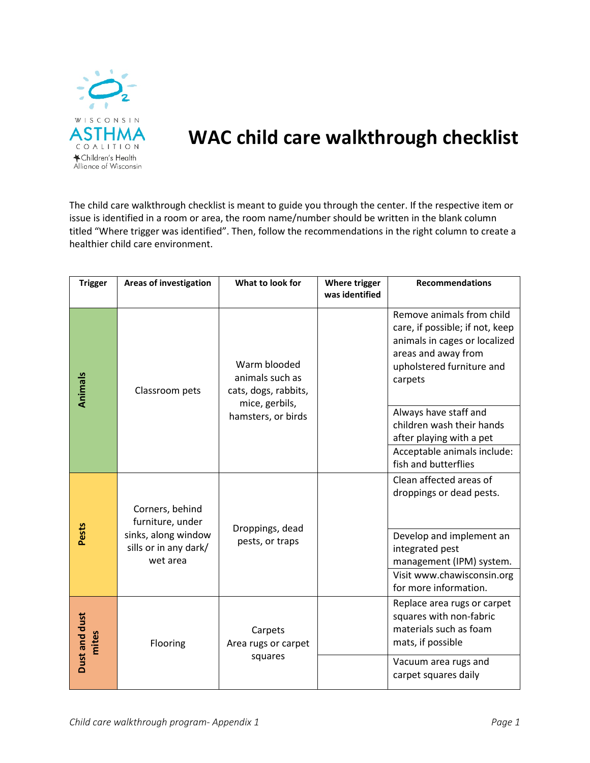

## **WAC child care walkthrough checklist**

The child care walkthrough checklist is meant to guide you through the center. If the respective item or issue is identified in a room or area, the room name/number should be written in the blank column titled "Where trigger was identified". Then, follow the recommendations in the right column to create a healthier child care environment.

| <b>Trigger</b>         | <b>Areas of investigation</b>                                                       | What to look for                                                                                | Where trigger<br>was identified | <b>Recommendations</b>                                                                                                                                                                |
|------------------------|-------------------------------------------------------------------------------------|-------------------------------------------------------------------------------------------------|---------------------------------|---------------------------------------------------------------------------------------------------------------------------------------------------------------------------------------|
| Animals                | Classroom pets                                                                      | Warm blooded<br>animals such as<br>cats, dogs, rabbits,<br>mice, gerbils,<br>hamsters, or birds |                                 | Remove animals from child<br>care, if possible; if not, keep<br>animals in cages or localized<br>areas and away from<br>upholstered furniture and<br>carpets<br>Always have staff and |
|                        |                                                                                     |                                                                                                 |                                 | children wash their hands<br>after playing with a pet<br>Acceptable animals include:<br>fish and butterflies                                                                          |
| Pests                  | Corners, behind<br>furniture, under<br>sinks, along window<br>sills or in any dark/ | Droppings, dead<br>pests, or traps                                                              |                                 | Clean affected areas of<br>droppings or dead pests.<br>Develop and implement an<br>integrated pest                                                                                    |
|                        | wet area                                                                            |                                                                                                 |                                 | management (IPM) system.<br>Visit www.chawisconsin.org<br>for more information.                                                                                                       |
| Dust and dust<br>mites | Flooring                                                                            | Carpets<br>Area rugs or carpet<br>squares                                                       |                                 | Replace area rugs or carpet<br>squares with non-fabric<br>materials such as foam<br>mats, if possible<br>Vacuum area rugs and<br>carpet squares daily                                 |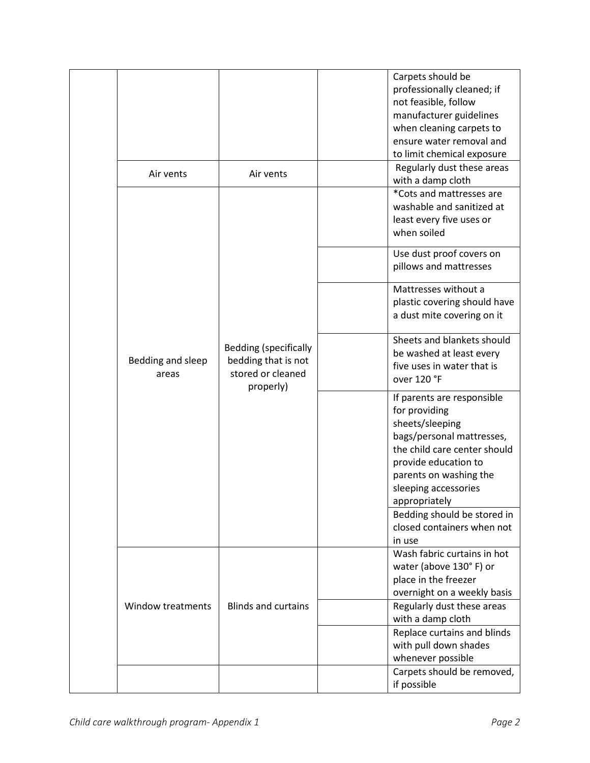|                   |                              | Carpets should be                             |
|-------------------|------------------------------|-----------------------------------------------|
|                   |                              | professionally cleaned; if                    |
|                   |                              | not feasible, follow                          |
|                   |                              | manufacturer guidelines                       |
|                   |                              | when cleaning carpets to                      |
|                   |                              | ensure water removal and                      |
|                   |                              | to limit chemical exposure                    |
| Air vents         | Air vents                    | Regularly dust these areas                    |
|                   |                              | with a damp cloth<br>*Cots and mattresses are |
|                   |                              | washable and sanitized at                     |
|                   |                              | least every five uses or                      |
|                   |                              | when soiled                                   |
|                   |                              |                                               |
|                   |                              | Use dust proof covers on                      |
|                   |                              | pillows and mattresses                        |
|                   |                              | Mattresses without a                          |
|                   |                              | plastic covering should have                  |
|                   |                              | a dust mite covering on it                    |
|                   |                              |                                               |
|                   |                              | Sheets and blankets should                    |
|                   | <b>Bedding (specifically</b> | be washed at least every                      |
| Bedding and sleep | bedding that is not          | five uses in water that is                    |
| areas             | stored or cleaned            | over 120 °F                                   |
|                   | properly)                    | If parents are responsible                    |
|                   |                              | for providing                                 |
|                   |                              | sheets/sleeping                               |
|                   |                              | bags/personal mattresses,                     |
|                   |                              | the child care center should                  |
|                   |                              | provide education to                          |
|                   |                              | parents on washing the                        |
|                   |                              | sleeping accessories                          |
|                   |                              | appropriately                                 |
|                   |                              | Bedding should be stored in                   |
|                   |                              | closed containers when not                    |
|                   |                              | in use                                        |
|                   |                              | Wash fabric curtains in hot                   |
|                   |                              | water (above 130°F) or                        |
|                   |                              | place in the freezer                          |
|                   |                              | overnight on a weekly basis                   |
| Window treatments | <b>Blinds and curtains</b>   | Regularly dust these areas                    |
|                   |                              | with a damp cloth                             |
|                   |                              | Replace curtains and blinds                   |
|                   |                              | with pull down shades                         |
|                   |                              | whenever possible                             |
|                   |                              | Carpets should be removed,                    |
|                   |                              | if possible                                   |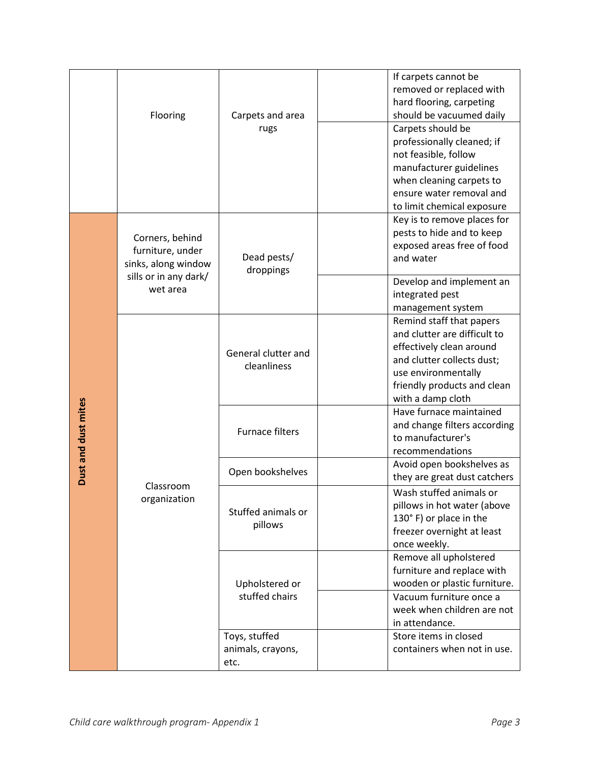|                     | Flooring                                                                                        | Carpets and area<br>rugs                   | If carpets cannot be<br>removed or replaced with<br>hard flooring, carpeting<br>should be vacuumed daily<br>Carpets should be<br>professionally cleaned; if                                   |
|---------------------|-------------------------------------------------------------------------------------------------|--------------------------------------------|-----------------------------------------------------------------------------------------------------------------------------------------------------------------------------------------------|
|                     |                                                                                                 |                                            | not feasible, follow<br>manufacturer guidelines<br>when cleaning carpets to<br>ensure water removal and<br>to limit chemical exposure                                                         |
|                     | Corners, behind<br>furniture, under<br>sinks, along window<br>sills or in any dark/<br>wet area | Dead pests/<br>droppings                   | Key is to remove places for<br>pests to hide and to keep<br>exposed areas free of food<br>and water                                                                                           |
|                     |                                                                                                 |                                            | Develop and implement an<br>integrated pest<br>management system                                                                                                                              |
|                     | Classroom<br>organization                                                                       | General clutter and<br>cleanliness         | Remind staff that papers<br>and clutter are difficult to<br>effectively clean around<br>and clutter collects dust;<br>use environmentally<br>friendly products and clean<br>with a damp cloth |
| Dust and dust mites |                                                                                                 | <b>Furnace filters</b>                     | Have furnace maintained<br>and change filters according<br>to manufacturer's<br>recommendations                                                                                               |
|                     |                                                                                                 | Open bookshelves                           | Avoid open bookshelves as<br>they are great dust catchers                                                                                                                                     |
|                     |                                                                                                 | Stuffed animals or<br>pillows              | Wash stuffed animals or<br>pillows in hot water (above<br>130° F) or place in the<br>freezer overnight at least<br>once weekly.                                                               |
|                     |                                                                                                 | Upholstered or<br>stuffed chairs           | Remove all upholstered<br>furniture and replace with<br>wooden or plastic furniture.<br>Vacuum furniture once a<br>week when children are not<br>in attendance.                               |
|                     |                                                                                                 | Toys, stuffed<br>animals, crayons,<br>etc. | Store items in closed<br>containers when not in use.                                                                                                                                          |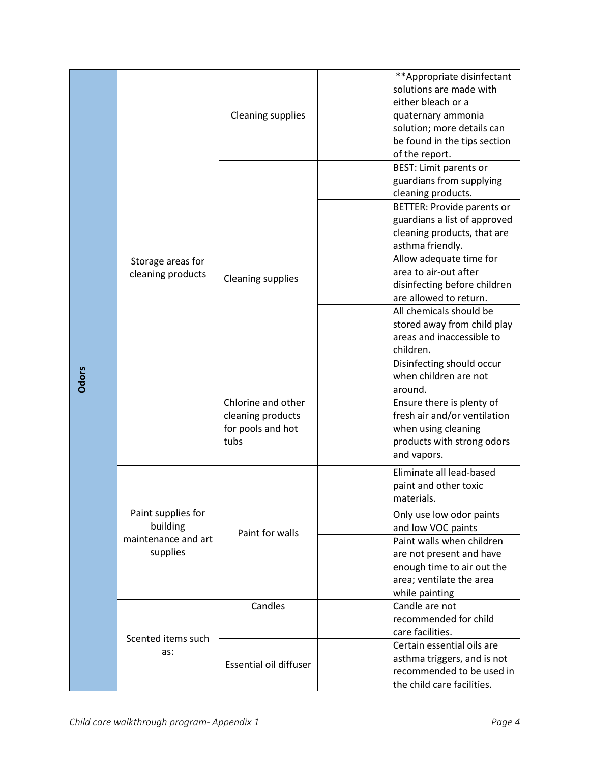| Odors                                                | Storage areas for<br>cleaning products                            | <b>Cleaning supplies</b>                                             | **Appropriate disinfectant<br>solutions are made with<br>either bleach or a<br>quaternary ammonia<br>solution; more details can<br>be found in the tips section<br>of the report.                                                                                                                                                                                                                                                                                                          |  |
|------------------------------------------------------|-------------------------------------------------------------------|----------------------------------------------------------------------|--------------------------------------------------------------------------------------------------------------------------------------------------------------------------------------------------------------------------------------------------------------------------------------------------------------------------------------------------------------------------------------------------------------------------------------------------------------------------------------------|--|
|                                                      |                                                                   | <b>Cleaning supplies</b>                                             | <b>BEST: Limit parents or</b><br>guardians from supplying<br>cleaning products.<br><b>BETTER: Provide parents or</b><br>guardians a list of approved<br>cleaning products, that are<br>asthma friendly.<br>Allow adequate time for<br>area to air-out after<br>disinfecting before children<br>are allowed to return.<br>All chemicals should be<br>stored away from child play<br>areas and inaccessible to<br>children.<br>Disinfecting should occur<br>when children are not<br>around. |  |
|                                                      |                                                                   | Chlorine and other<br>cleaning products<br>for pools and hot<br>tubs | Ensure there is plenty of<br>fresh air and/or ventilation<br>when using cleaning<br>products with strong odors<br>and vapors.                                                                                                                                                                                                                                                                                                                                                              |  |
|                                                      | Paint supplies for<br>building<br>maintenance and art<br>supplies | Paint for walls                                                      | Eliminate all lead-based<br>paint and other toxic<br>materials.<br>Only use low odor paints<br>and low VOC paints<br>Paint walls when children<br>are not present and have<br>enough time to air out the<br>area; ventilate the area<br>while painting                                                                                                                                                                                                                                     |  |
|                                                      | Scented items such<br>as:                                         | Candles                                                              | Candle are not<br>recommended for child<br>care facilities.<br>Certain essential oils are                                                                                                                                                                                                                                                                                                                                                                                                  |  |
|                                                      |                                                                   | <b>Essential oil diffuser</b>                                        | asthma triggers, and is not<br>recommended to be used in<br>the child care facilities.                                                                                                                                                                                                                                                                                                                                                                                                     |  |
| Child care walkthrough program- Appendix 1<br>Page 4 |                                                                   |                                                                      |                                                                                                                                                                                                                                                                                                                                                                                                                                                                                            |  |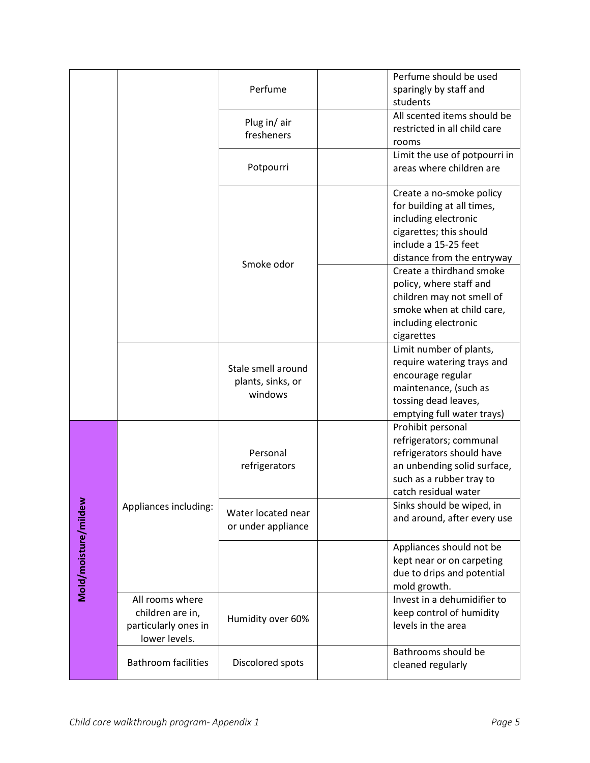|                      |                                                                              | Perfume                                            | Perfume should be used<br>sparingly by staff and<br>students                                                                                                    |
|----------------------|------------------------------------------------------------------------------|----------------------------------------------------|-----------------------------------------------------------------------------------------------------------------------------------------------------------------|
|                      |                                                                              | Plug in/air<br>fresheners                          | All scented items should be<br>restricted in all child care<br>rooms                                                                                            |
|                      |                                                                              | Potpourri                                          | Limit the use of potpourri in<br>areas where children are                                                                                                       |
|                      |                                                                              |                                                    | Create a no-smoke policy<br>for building at all times,<br>including electronic<br>cigarettes; this should<br>include a 15-25 feet<br>distance from the entryway |
|                      |                                                                              | Smoke odor                                         | Create a thirdhand smoke<br>policy, where staff and<br>children may not smell of<br>smoke when at child care,<br>including electronic<br>cigarettes             |
|                      |                                                                              | Stale smell around<br>plants, sinks, or<br>windows | Limit number of plants,<br>require watering trays and<br>encourage regular<br>maintenance, (such as<br>tossing dead leaves,<br>emptying full water trays)       |
|                      |                                                                              | Personal<br>refrigerators                          | Prohibit personal<br>refrigerators; communal<br>refrigerators should have<br>an unbending solid surface,<br>such as a rubber tray to<br>catch residual water    |
| Mold/moisture/mildew | Appliances including:                                                        | Water located near<br>or under appliance           | Sinks should be wiped, in<br>and around, after every use                                                                                                        |
|                      |                                                                              |                                                    | Appliances should not be<br>kept near or on carpeting<br>due to drips and potential<br>mold growth.                                                             |
|                      | All rooms where<br>children are in,<br>particularly ones in<br>lower levels. | Humidity over 60%                                  | Invest in a dehumidifier to<br>keep control of humidity<br>levels in the area                                                                                   |
|                      | <b>Bathroom facilities</b>                                                   | Discolored spots                                   | Bathrooms should be<br>cleaned regularly                                                                                                                        |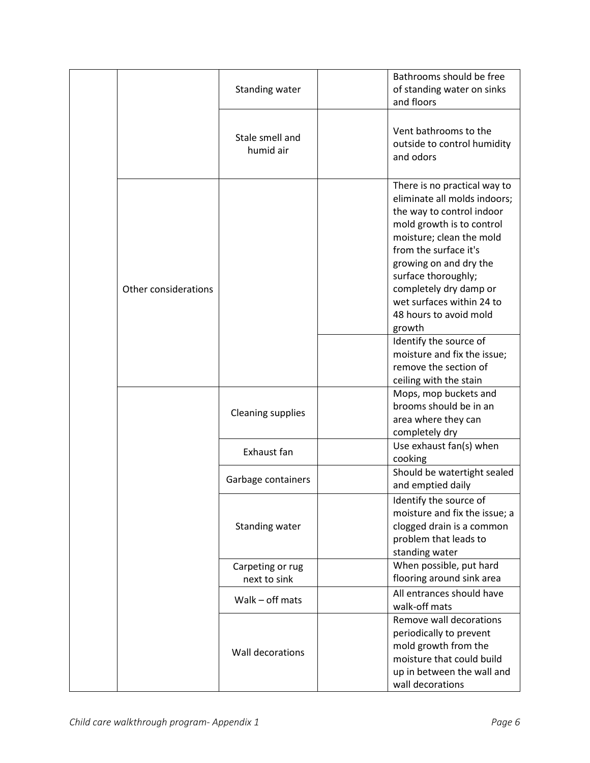|                      | <b>Standing water</b>           | Bathrooms should be free<br>of standing water on sinks<br>and floors                                                                                                                                                                                                                                                                                                                                                                |
|----------------------|---------------------------------|-------------------------------------------------------------------------------------------------------------------------------------------------------------------------------------------------------------------------------------------------------------------------------------------------------------------------------------------------------------------------------------------------------------------------------------|
|                      | Stale smell and<br>humid air    | Vent bathrooms to the<br>outside to control humidity<br>and odors                                                                                                                                                                                                                                                                                                                                                                   |
| Other considerations |                                 | There is no practical way to<br>eliminate all molds indoors;<br>the way to control indoor<br>mold growth is to control<br>moisture; clean the mold<br>from the surface it's<br>growing on and dry the<br>surface thoroughly;<br>completely dry damp or<br>wet surfaces within 24 to<br>48 hours to avoid mold<br>growth<br>Identify the source of<br>moisture and fix the issue;<br>remove the section of<br>ceiling with the stain |
|                      | <b>Cleaning supplies</b>        | Mops, mop buckets and<br>brooms should be in an<br>area where they can<br>completely dry                                                                                                                                                                                                                                                                                                                                            |
|                      | Exhaust fan                     | Use exhaust fan(s) when<br>cooking                                                                                                                                                                                                                                                                                                                                                                                                  |
|                      | Garbage containers              | Should be watertight sealed<br>and emptied daily                                                                                                                                                                                                                                                                                                                                                                                    |
|                      | Standing water                  | Identify the source of<br>moisture and fix the issue; a<br>clogged drain is a common<br>problem that leads to<br>standing water                                                                                                                                                                                                                                                                                                     |
|                      | Carpeting or rug                | When possible, put hard<br>flooring around sink area                                                                                                                                                                                                                                                                                                                                                                                |
|                      | next to sink<br>Walk - off mats | All entrances should have<br>walk-off mats                                                                                                                                                                                                                                                                                                                                                                                          |
|                      | Wall decorations                | Remove wall decorations<br>periodically to prevent<br>mold growth from the<br>moisture that could build<br>up in between the wall and<br>wall decorations                                                                                                                                                                                                                                                                           |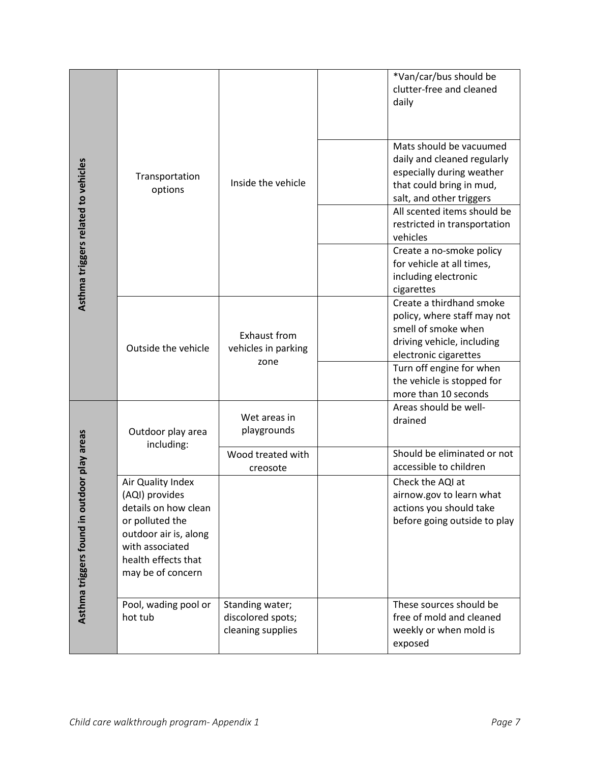|                                                 |                                                                                                                                                                        |                                                           | *Van/car/bus should be<br>clutter-free and cleaned<br>daily                                                                                                                                                                                                                                                           |
|-------------------------------------------------|------------------------------------------------------------------------------------------------------------------------------------------------------------------------|-----------------------------------------------------------|-----------------------------------------------------------------------------------------------------------------------------------------------------------------------------------------------------------------------------------------------------------------------------------------------------------------------|
| Asthma triggers related to vehicles             | Transportation<br>options                                                                                                                                              | Inside the vehicle                                        | Mats should be vacuumed<br>daily and cleaned regularly<br>especially during weather<br>that could bring in mud,<br>salt, and other triggers<br>All scented items should be<br>restricted in transportation<br>vehicles<br>Create a no-smoke policy<br>for vehicle at all times,<br>including electronic<br>cigarettes |
|                                                 | Outside the vehicle                                                                                                                                                    | Exhaust from<br>vehicles in parking<br>zone               | Create a thirdhand smoke<br>policy, where staff may not<br>smell of smoke when<br>driving vehicle, including<br>electronic cigarettes<br>Turn off engine for when<br>the vehicle is stopped for<br>more than 10 seconds                                                                                               |
|                                                 | Outdoor play area<br>including:                                                                                                                                        | Wet areas in<br>playgrounds                               | Areas should be well-<br>drained                                                                                                                                                                                                                                                                                      |
|                                                 |                                                                                                                                                                        | Wood treated with<br>creosote                             | Should be eliminated or not<br>accessible to children                                                                                                                                                                                                                                                                 |
| door play areas<br>Asthma triggers found in out | Air Quality Index<br>(AQI) provides<br>details on how clean<br>or polluted the<br>outdoor air is, along<br>with associated<br>health effects that<br>may be of concern |                                                           | Check the AQI at<br>airnow.gov to learn what<br>actions you should take<br>before going outside to play                                                                                                                                                                                                               |
|                                                 | Pool, wading pool or<br>hot tub                                                                                                                                        | Standing water;<br>discolored spots;<br>cleaning supplies | These sources should be<br>free of mold and cleaned<br>weekly or when mold is<br>exposed                                                                                                                                                                                                                              |
|                                                 | Child care walkthrough program- Appendix 1                                                                                                                             |                                                           | Page 7                                                                                                                                                                                                                                                                                                                |